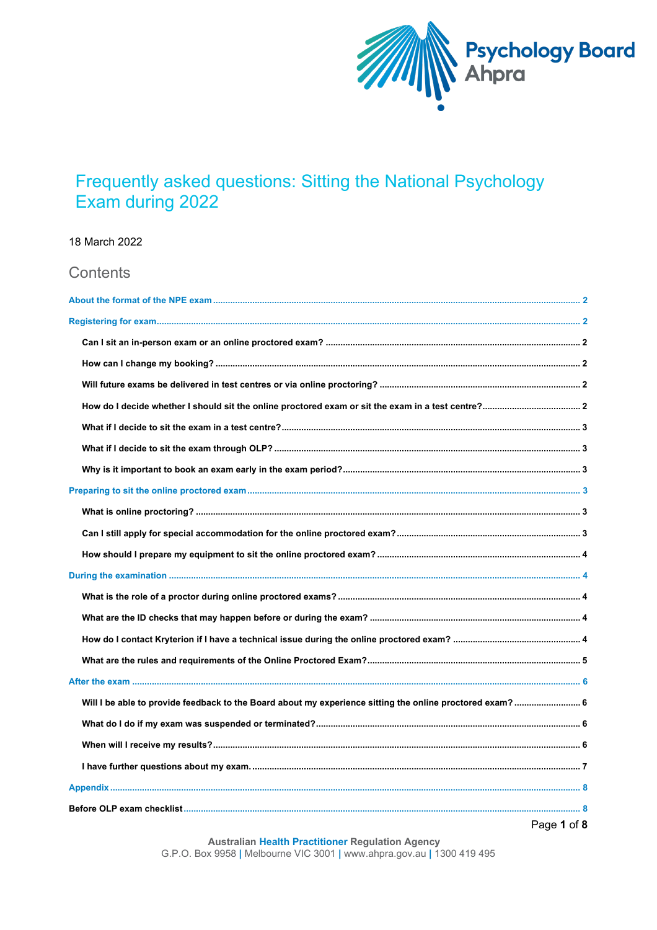

# Frequently asked questions: Sitting the National Psychology Exam during 2022

18 March 2022

| Contents                                                                                                  |  |
|-----------------------------------------------------------------------------------------------------------|--|
|                                                                                                           |  |
|                                                                                                           |  |
|                                                                                                           |  |
|                                                                                                           |  |
|                                                                                                           |  |
|                                                                                                           |  |
|                                                                                                           |  |
|                                                                                                           |  |
|                                                                                                           |  |
|                                                                                                           |  |
|                                                                                                           |  |
|                                                                                                           |  |
|                                                                                                           |  |
|                                                                                                           |  |
|                                                                                                           |  |
|                                                                                                           |  |
|                                                                                                           |  |
|                                                                                                           |  |
|                                                                                                           |  |
| Will I be able to provide feedback to the Board about my experience sitting the online proctored exam?  6 |  |
|                                                                                                           |  |
|                                                                                                           |  |
|                                                                                                           |  |
|                                                                                                           |  |
|                                                                                                           |  |
| Page 1 of 8                                                                                               |  |

**Australian Health Practitioner Regulation Agency** G.P.O. Box 9958 | Melbourne VIC 3001 | www.ahpra.gov.au | 1300 419 495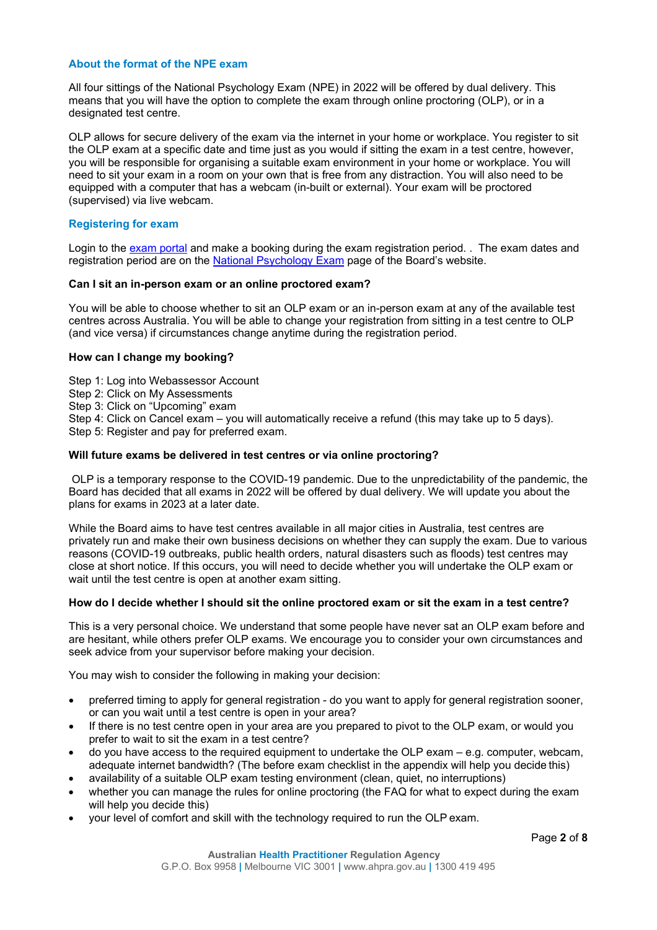# **About the format of the NPE exam**

All four sittings of the National Psychology Exam (NPE) in 2022 will be offered by dual delivery. This means that you will have the option to complete the exam through online proctoring (OLP), or in a designated test centre.

OLP allows for secure delivery of the exam via the internet in your home or workplace. You register to sit the OLP exam at a specific date and time just as you would if sitting the exam in a test centre, however, you will be responsible for organising a suitable exam environment in your home or workplace. You will need to sit your exam in a room on your own that is free from any distraction. You will also need to be equipped with a computer that has a webcam (in-built or external). Your exam will be proctored (supervised) via live webcam.

# **Registering for exam**

Login to the [exam portal](https://www.webassessor.com/ahpra) and make a booking during the exam registration period. . The exam dates and registration period are on the [National Psychology Exam](https://www.psychologyboard.gov.au/Registration/National-psychology-exam.aspx) page of the Board's website.

# **Can I sit an in-person exam or an online proctored exam?**

You will be able to choose whether to sit an OLP exam or an in-person exam at any of the available test centres across Australia. You will be able to change your registration from sitting in a test centre to OLP (and vice versa) if circumstances change anytime during the registration period.

# **How can I change my booking?**

- Step 1: Log into Webassessor Account
- Step 2: Click on My Assessments
- Step 3: Click on "Upcoming" exam

Step 4: Click on Cancel exam – you will automatically receive a refund (this may take up to 5 days). Step 5: Register and pay for preferred exam.

#### **Will future exams be delivered in test centres or via online proctoring?**

OLP is a temporary response to the COVID-19 pandemic. Due to the unpredictability of the pandemic, the Board has decided that all exams in 2022 will be offered by dual delivery. We will update you about the plans for exams in 2023 at a later date.

While the Board aims to have test centres available in all major cities in Australia, test centres are privately run and make their own business decisions on whether they can supply the exam. Due to various reasons (COVID-19 outbreaks, public health orders, natural disasters such as floods) test centres may close at short notice. If this occurs, you will need to decide whether you will undertake the OLP exam or wait until the test centre is open at another exam sitting.

#### **How do I decide whether I should sit the online proctored exam or sit the exam in a test centre?**

This is a very personal choice. We understand that some people have never sat an OLP exam before and are hesitant, while others prefer OLP exams. We encourage you to consider your own circumstances and seek advice from your supervisor before making your decision.

You may wish to consider the following in making your decision:

- preferred timing to apply for general registration do you want to apply for general registration sooner, or can you wait until a test centre is open in your area?
- If there is no test centre open in your area are you prepared to pivot to the OLP exam, or would you prefer to wait to sit the exam in a test centre?
- do you have access to the required equipment to undertake the OLP exam e.g. computer, webcam, adequate internet bandwidth? (The before exam checklist in the appendix will help you decide this)
- availability of a suitable OLP exam testing environment (clean, quiet, no interruptions)
- whether you can manage the rules for online proctoring (the FAQ for what to expect during the exam will help you decide this)
- your level of comfort and skill with the technology required to run the OLP exam.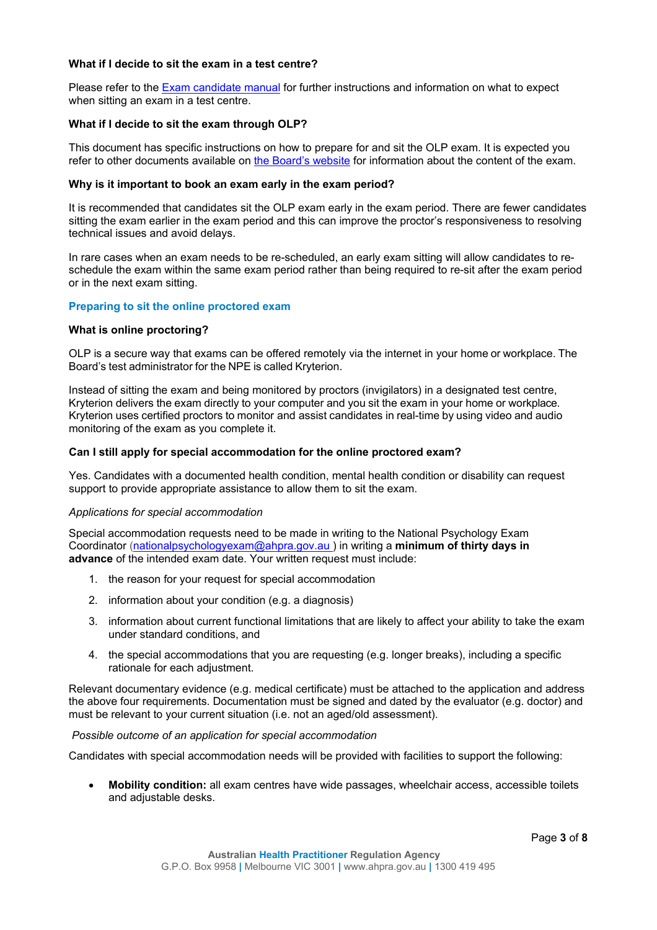# **What if I decide to sit the exam in a test centre?**

Please refer to the [Exam candidate manual](https://www.psychologyboard.gov.au/Registration/National-psychology-exam/National-psychology-exam-candidate-manual.aspx) for further instructions and information on what to expect when sitting an exam in a test centre.

# **What if I decide to sit the exam through OLP?**

This document has specific instructions on how to prepare for and sit the OLP exam. It is expected you refer to other documents available on [the Board's website](https://www.psychologyboard.gov.au/Registration/National-psychology-exam.aspx) for information about the content of the exam.

## **Why is it important to book an exam early in the exam period?**

It is recommended that candidates sit the OLP exam early in the exam period. There are fewer candidates sitting the exam earlier in the exam period and this can improve the proctor's responsiveness to resolving technical issues and avoid delays.

In rare cases when an exam needs to be re-scheduled, an early exam sitting will allow candidates to reschedule the exam within the same exam period rather than being required to re-sit after the exam period or in the next exam sitting.

# **Preparing to sit the online proctored exam**

#### **What is online proctoring?**

OLP is a secure way that exams can be offered remotely via the internet in your home or workplace. The Board's test administrator for the NPE is called Kryterion.

Instead of sitting the exam and being monitored by proctors (invigilators) in a designated test centre, Kryterion delivers the exam directly to your computer and you sit the exam in your home or workplace. Kryterion uses certified proctors to monitor and assist candidates in real-time by using video and audio monitoring of the exam as you complete it.

#### **Can I still apply for special accommodation for the online proctored exam?**

Yes. Candidates with a documented health condition, mental health condition or disability can request support to provide appropriate assistance to allow them to sit the exam.

#### *Applications for special accommodation*

Special accommodation requests need to be made in writing to the National Psychology Exam Coordinator [\(nationalpsychologyexam@ahpra.gov.au \)](mailto:nationalpsychologyexam@ahpra.gov.au) in writing a **minimum of thirty days in advance** of the intended exam date. Your written request must include:

- 1. the reason for your request for special accommodation
- 2. information about your condition (e.g. a diagnosis)
- 3. information about current functional limitations that are likely to affect your ability to take the exam under standard conditions, and
- 4. the special accommodations that you are requesting (e.g. longer breaks), including a specific rationale for each adjustment.

Relevant documentary evidence (e.g. medical certificate) must be attached to the application and address the above four requirements. Documentation must be signed and dated by the evaluator (e.g. doctor) and must be relevant to your current situation (i.e. not an aged/old assessment).

#### *Possible outcome of an application for special accommodation*

Candidates with special accommodation needs will be provided with facilities to support the following:

• **Mobility condition:** all exam centres have wide passages, wheelchair access, accessible toilets and adjustable desks.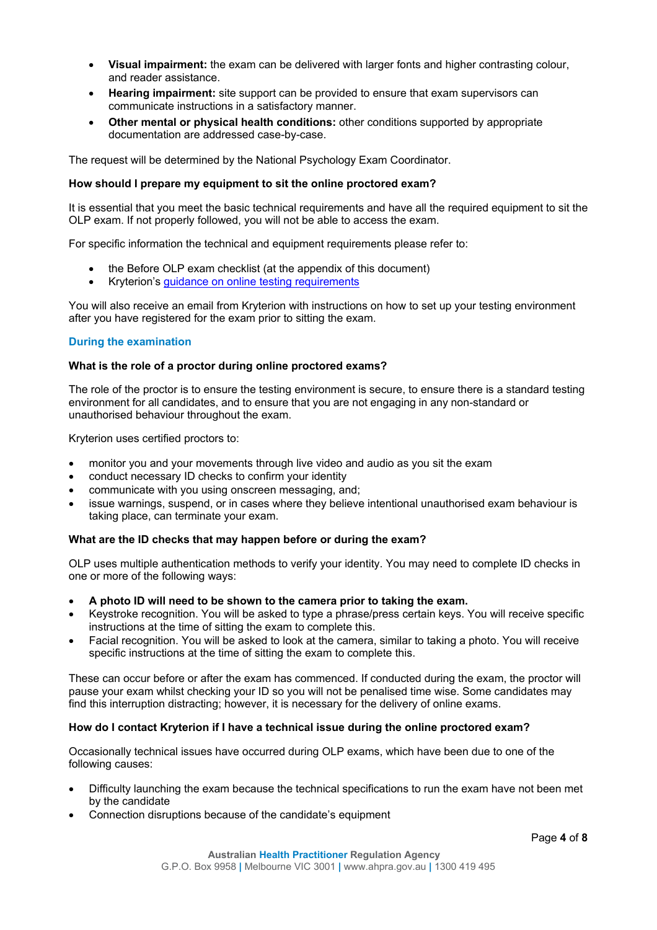- **Visual impairment:** the exam can be delivered with larger fonts and higher contrasting colour, and reader assistance.
- **Hearing impairment:** site support can be provided to ensure that exam supervisors can communicate instructions in a satisfactory manner.
- **Other mental or physical health conditions:** other conditions supported by appropriate documentation are addressed case-by-case.

The request will be determined by the National Psychology Exam Coordinator.

# **How should I prepare my equipment to sit the online proctored exam?**

It is essential that you meet the basic technical requirements and have all the required equipment to sit the OLP exam. If not properly followed, you will not be able to access the exam.

For specific information the technical and equipment requirements please refer to:

- the Before OLP exam checklist (at the appendix of this document)
- Kryterion's [guidance on online testing requirements](https://kryterion.force.com/support/s/article/Online-Testing-Requirements?language=en_US)

You will also receive an email from Kryterion with instructions on how to set up your testing environment after you have registered for the exam prior to sitting the exam.

# **During the examination**

# **What is the role of a proctor during online proctored exams?**

The role of the proctor is to ensure the testing environment is secure, to ensure there is a standard testing environment for all candidates, and to ensure that you are not engaging in any non-standard or unauthorised behaviour throughout the exam.

Kryterion uses certified proctors to:

- monitor you and your movements through live video and audio as you sit the exam
- conduct necessary ID checks to confirm your identity
- communicate with you using onscreen messaging, and;
- issue warnings, suspend, or in cases where they believe intentional unauthorised exam behaviour is taking place, can terminate your exam.

#### **What are the ID checks that may happen before or during the exam?**

OLP uses multiple authentication methods to verify your identity. You may need to complete ID checks in one or more of the following ways:

- **A photo ID will need to be shown to the camera prior to taking the exam.**
- Keystroke recognition. You will be asked to type a phrase/press certain keys. You will receive specific instructions at the time of sitting the exam to complete this.
- Facial recognition. You will be asked to look at the camera, similar to taking a photo. You will receive specific instructions at the time of sitting the exam to complete this.

These can occur before or after the exam has commenced. If conducted during the exam, the proctor will pause your exam whilst checking your ID so you will not be penalised time wise. Some candidates may find this interruption distracting; however, it is necessary for the delivery of online exams.

#### **How do I contact Kryterion if I have a technical issue during the online proctored exam?**

Occasionally technical issues have occurred during OLP exams, which have been due to one of the following causes:

- Difficulty launching the exam because the technical specifications to run the exam have not been met by the candidate
- Connection disruptions because of the candidate's equipment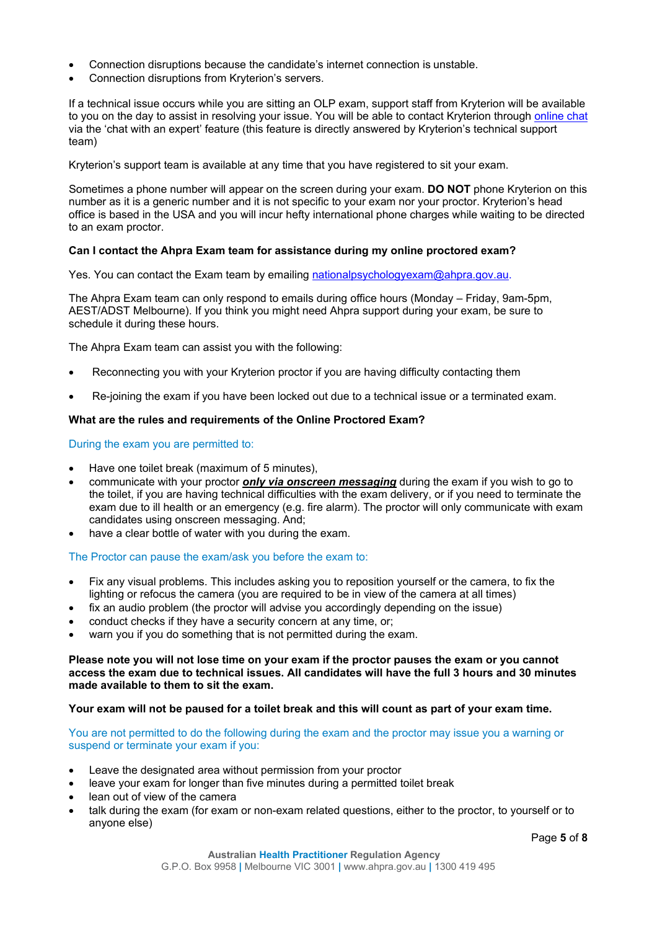- Connection disruptions because the candidate's internet connection is unstable.
- Connection disruptions from Kryterion's servers.

If a technical issue occurs while you are sitting an OLP exam, support staff from Kryterion will be available to you on the day to assist in resolving your issue. You will be able to contact Kryterion through [online chat](https://kryterion.force.com/support/s/article/Online-Testing-Requirements?language=en_US) via the 'chat with an expert' feature (this feature is directly answered by Kryterion's technical support team)

Kryterion's support team is available at any time that you have registered to sit your exam.

Sometimes a phone number will appear on the screen during your exam. **DO NOT** phone Kryterion on this number as it is a generic number and it is not specific to your exam nor your proctor. Kryterion's head office is based in the USA and you will incur hefty international phone charges while waiting to be directed to an exam proctor.

# **Can I contact the Ahpra Exam team for assistance during my online proctored exam?**

Yes. You can contact the Exam team by emailing [nationalpsychologyexam@ahpra.gov.au.](mailto:nationalpsychologyexam@ahpra.gov.au)

The Ahpra Exam team can only respond to emails during office hours (Monday – Friday, 9am-5pm, AEST/ADST Melbourne). If you think you might need Ahpra support during your exam, be sure to schedule it during these hours.

The Ahpra Exam team can assist you with the following:

- Reconnecting you with your Kryterion proctor if you are having difficulty contacting them
- Re-joining the exam if you have been locked out due to a technical issue or a terminated exam.

# **What are the rules and requirements of the Online Proctored Exam?**

During the exam you are permitted to:

- Have one toilet break (maximum of 5 minutes),
- communicate with your proctor *only via onscreen messaging* during the exam if you wish to go to the toilet, if you are having technical difficulties with the exam delivery, or if you need to terminate the exam due to ill health or an emergency (e.g. fire alarm). The proctor will only communicate with exam candidates using onscreen messaging. And;
- have a clear bottle of water with you during the exam.

The Proctor can pause the exam/ask you before the exam to:

- Fix any visual problems. This includes asking you to reposition yourself or the camera, to fix the lighting or refocus the camera (you are required to be in view of the camera at all times)
- fix an audio problem (the proctor will advise you accordingly depending on the issue)
- conduct checks if they have a security concern at any time, or;
- warn you if you do something that is not permitted during the exam.

## **Please note you will not lose time on your exam if the proctor pauses the exam or you cannot access the exam due to technical issues. All candidates will have the full 3 hours and 30 minutes made available to them to sit the exam.**

#### **Your exam will not be paused for a toilet break and this will count as part of your exam time.**

You are not permitted to do the following during the exam and the proctor may issue you a warning or suspend or terminate your exam if you:

- Leave the designated area without permission from your proctor
- leave your exam for longer than five minutes during a permitted toilet break
- lean out of view of the camera
- talk during the exam (for exam or non-exam related questions, either to the proctor, to yourself or to anyone else)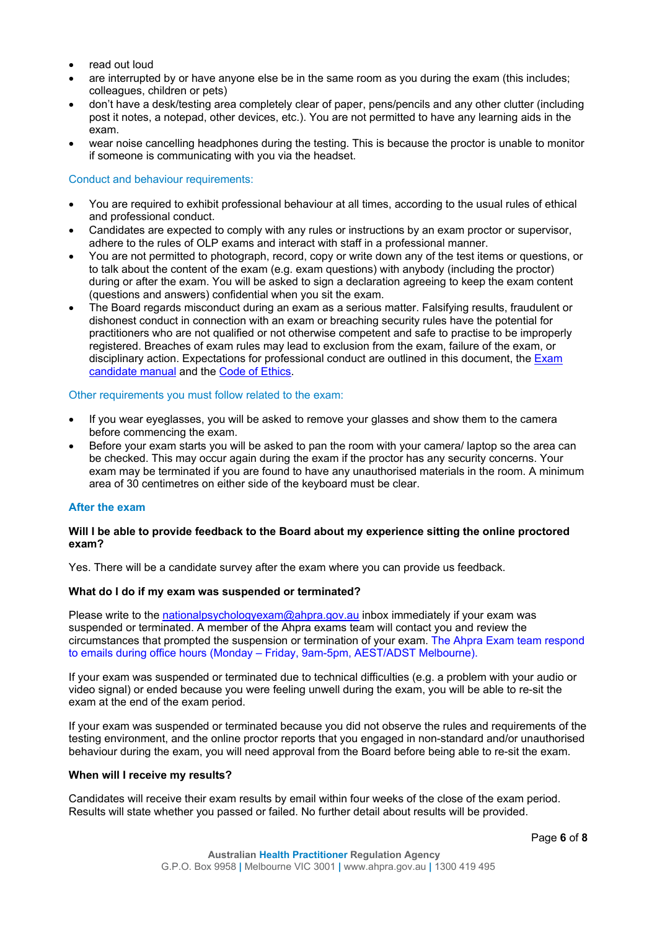- read out loud
- are interrupted by or have anyone else be in the same room as you during the exam (this includes; colleagues, children or pets)
- don't have a desk/testing area completely clear of paper, pens/pencils and any other clutter (including post it notes, a notepad, other devices, etc.). You are not permitted to have any learning aids in the exam.
- wear noise cancelling headphones during the testing. This is because the proctor is unable to monitor if someone is communicating with you via the headset.

## Conduct and behaviour requirements:

- You are required to exhibit professional behaviour at all times, according to the usual rules of ethical and professional conduct.
- Candidates are expected to comply with any rules or instructions by an exam proctor or supervisor, adhere to the rules of OLP exams and interact with staff in a professional manner.
- You are not permitted to photograph, record, copy or write down any of the test items or questions, or to talk about the content of the exam (e.g. exam questions) with anybody (including the proctor) during or after the exam. You will be asked to sign a declaration agreeing to keep the exam content (questions and answers) confidential when you sit the exam.
- The Board regards misconduct during an exam as a serious matter. Falsifying results, fraudulent or dishonest conduct in connection with an exam or breaching security rules have the potential for practitioners who are not qualified or not otherwise competent and safe to practise to be improperly registered. Breaches of exam rules may lead to exclusion from the exam, failure of the exam, or disciplinary action. Expectations for professional conduct are outlined in this document, the [Exam](https://www.psychologyboard.gov.au/Registration/National-psychology-exam/National-psychology-exam-candidate-manual.aspx)  [candidate manual](https://www.psychologyboard.gov.au/Registration/National-psychology-exam/National-psychology-exam-candidate-manual.aspx) and the [Code of Ethics.](https://www.psychologyboard.gov.au/Standards-and-Guidelines/Code-of-conduct.aspx)

#### Other requirements you must follow related to the exam:

- If you wear eyeglasses, you will be asked to remove your glasses and show them to the camera before commencing the exam.
- Before your exam starts you will be asked to pan the room with your camera/ laptop so the area can be checked. This may occur again during the exam if the proctor has any security concerns. Your exam may be terminated if you are found to have any unauthorised materials in the room. A minimum area of 30 centimetres on either side of the keyboard must be clear.

# **After the exam**

# **Will I be able to provide feedback to the Board about my experience sitting the online proctored exam?**

Yes. There will be a candidate survey after the exam where you can provide us feedback.

# **What do I do if my exam was suspended or terminated?**

Please write to the [nationalpsychologyexam@ahpra.gov.au](mailto:nationalpsychologyexam@ahpra.gov.au) inbox immediately if your exam was suspended or terminated. A member of the Ahpra exams team will contact you and review the circumstances that prompted the suspension or termination of your exam. The Ahpra Exam team respond to emails during office hours (Monday – Friday, 9am-5pm, AEST/ADST Melbourne).

If your exam was suspended or terminated due to technical difficulties (e.g. a problem with your audio or video signal) or ended because you were feeling unwell during the exam, you will be able to re-sit the exam at the end of the exam period.

If your exam was suspended or terminated because you did not observe the rules and requirements of the testing environment, and the online proctor reports that you engaged in non-standard and/or unauthorised behaviour during the exam, you will need approval from the Board before being able to re-sit the exam.

#### **When will I receive my results?**

Candidates will receive their exam results by email within four weeks of the close of the exam period. Results will state whether you passed or failed. No further detail about results will be provided.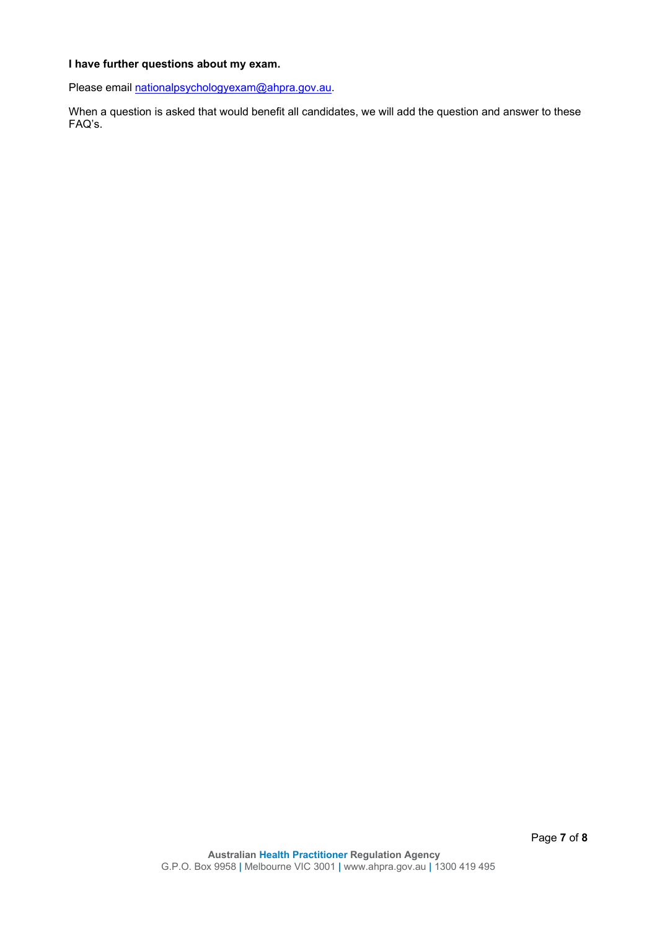# **I have further questions about my exam.**

Please email [nationalpsychologyexam@ahpra.gov.au.](mailto:nationalpsychologyexam@ahpra.gov.au)

When a question is asked that would benefit all candidates, we will add the question and answer to these FAQ's.